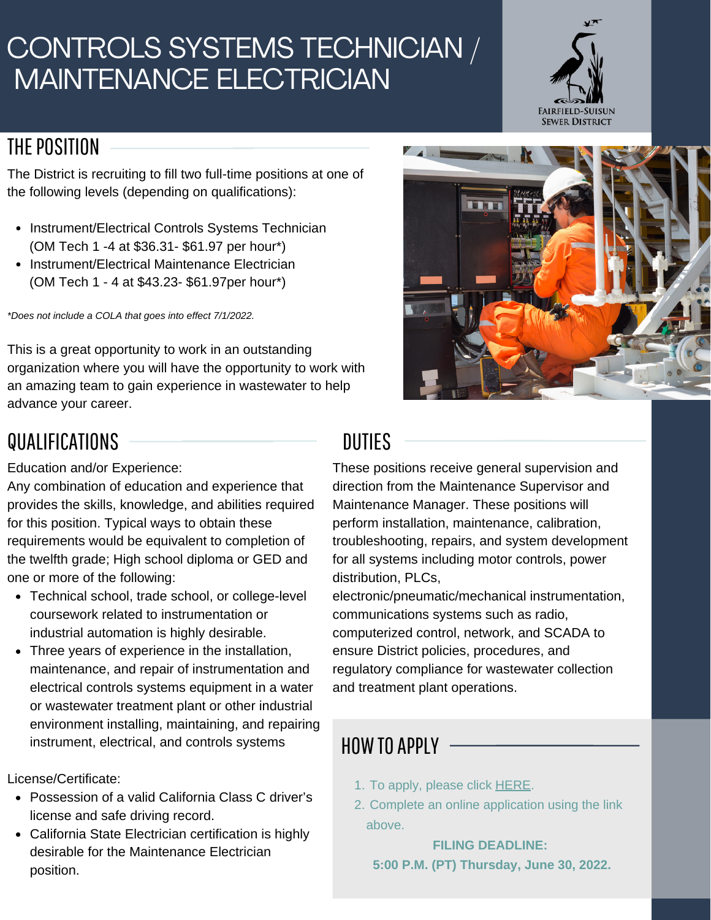# CONTROLS SYSTEMS TECHNICIAN / MAINTENANCE ELECTRICIAN



## THE POSITION

The District is recruiting to fill two full-time positions at one of the following levels (depending on qualifications):

- Instrument/Electrical Controls Systems Technician (OM Tech 1 -4 at \$36.31- \$61.97 per hour\*)
- Instrument/Electrical Maintenance Electrician (OM Tech 1 - 4 at \$43.23- \$61.97per hour\*)

*\*Does not include a COLA that goes into effect 7/1/2022.*

This is a great opportunity to work in an outstanding organization where you will have the opportunity to work with an amazing team to gain experience in wastewater to help advance your career.

## QUALIFICATIONS **DUTIES**

Education and/or Experience:

Any combination of education and experience that provides the skills, knowledge, and abilities required for this position. Typical ways to obtain these requirements would be equivalent to completion of the twelfth grade; High school diploma or GED and one or more of the following:

- Technical school, trade school, or college-level coursework related to instrumentation or industrial automation is highly desirable.
- Three years of experience in the installation, maintenance, and repair of instrumentation and electrical controls systems equipment in a water or wastewater treatment plant or other industrial environment installing, maintaining, and repairing instrument, electrical, and controls systems

License/Certificate:

- Possession of a valid California Class C driver's license and safe driving record.
- California State Electrician certification is highly desirable for the Maintenance Electrician position.

 $\blacksquare$ 

These positions receive general supervision and direction from the Maintenance Supervisor and Maintenance Manager. These positions will perform installation, maintenance, calibration, troubleshooting, repairs, and system development for all systems including motor controls, power distribution, PLCs,

electronic/pneumatic/mechanical instrumentation, communications systems such as radio, computerized control, network, and SCADA to ensure District policies, procedures, and regulatory compliance for wastewater collection and treatment plant operations.

## $H$ OW TO APPLY  $-$

- 1. To apply, please click **[HERE](https://www.governmentjobs.com/careers/fairfieldsuisunsew/jobs/3563415/instrument-electrical-systems-controls-technician-maintenance-electrician?pagetype=jobOpportunitiesJobs)**.
- 2. Complete an online application using the link above.

**FILING DEADLINE: 5:00 P.M. (PT) Thursday, June 30, 2022.**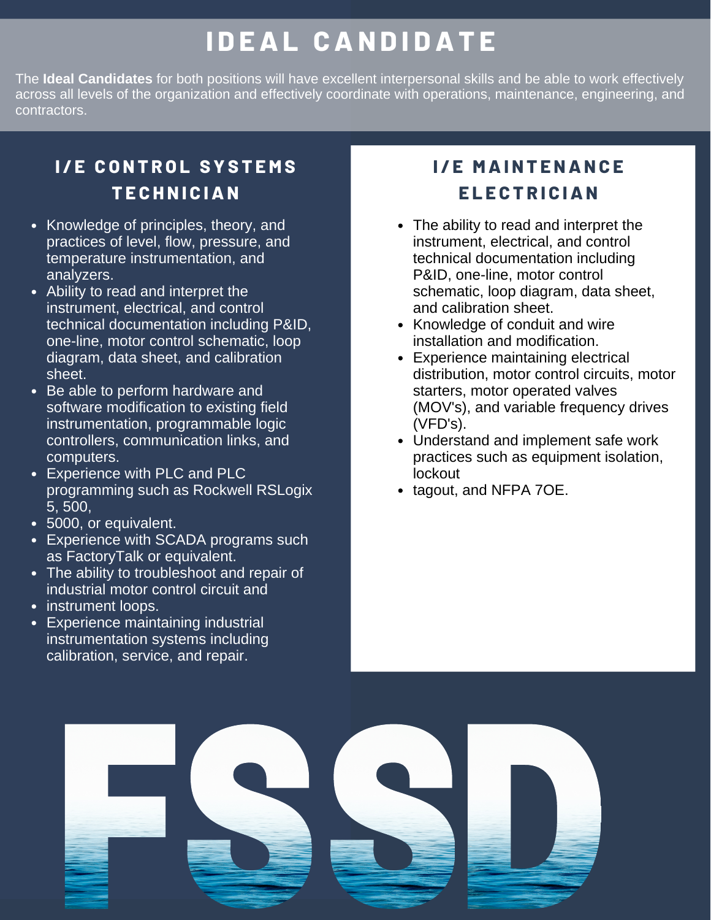# **I D EAL CAN D I DAT E**

The **Ideal Candidates** for both positions will have excellent interpersonal skills and be able to work effectively across all levels of the organization and effectively coordinate with operations, maintenance, engineering, and contractors.

#### **I / E C O N T R O L S Y S T E M S T E C H N I C IAN**

- Knowledge of principles, theory, and practices of level, flow, pressure, and temperature instrumentation, and analyzers.
- Ability to read and interpret the instrument, electrical, and control technical documentation including P&ID, one-line, motor control schematic, loop diagram, data sheet, and calibration sheet.
- Be able to perform hardware and software modification to existing field instrumentation, programmable logic controllers, communication links, and computers.
- Experience with PLC and PLC programming such as Rockwell RSLogix 5, 500,
- 5000, or equivalent.
- Experience with SCADA programs such as FactoryTalk or equivalent.
- The ability to troubleshoot and repair of industrial motor control circuit and
- instrument loops.
- Experience maintaining industrial instrumentation systems including calibration, service, and repair.

## **I / E M AI N T E NAN C E E L E C T R I C IAN**

- The ability to read and interpret the instrument, electrical, and control technical documentation including P&ID, one-line, motor control schematic, loop diagram, data sheet, and calibration sheet.
- Knowledge of conduit and wire installation and modification.
- Experience maintaining electrical distribution, motor control circuits, motor starters, motor operated valves (MOV's), and variable frequency drives (VFD's).
- Understand and implement safe work practices such as equipment isolation, lockout
- tagout, and NFPA 7OE.